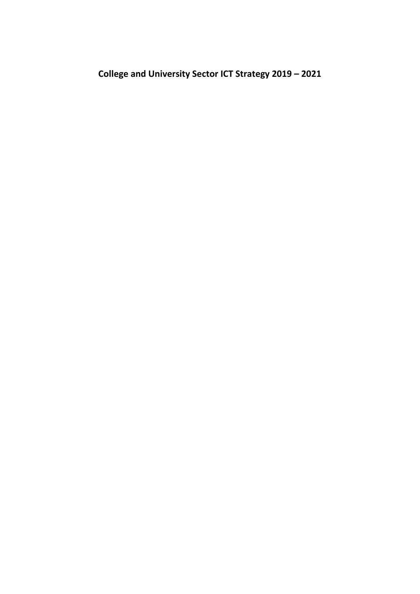**College and University Sector ICT Strategy 2019 – 2021**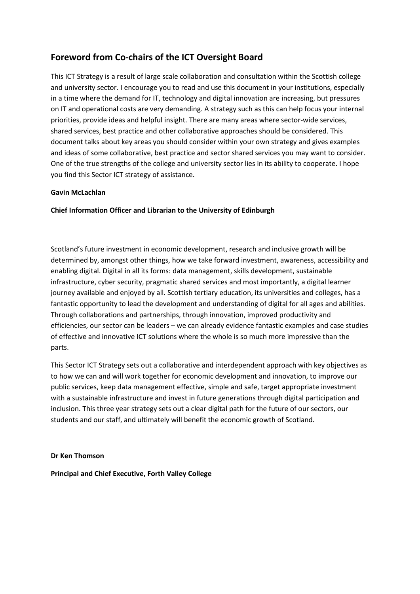# **Foreword from Co-chairs of the ICT Oversight Board**

This ICT Strategy is a result of large scale collaboration and consultation within the Scottish college and university sector. I encourage you to read and use this document in your institutions, especially in a time where the demand for IT, technology and digital innovation are increasing, but pressures on IT and operational costs are very demanding. A strategy such as this can help focus your internal priorities, provide ideas and helpful insight. There are many areas where sector-wide services, shared services, best practice and other collaborative approaches should be considered. This document talks about key areas you should consider within your own strategy and gives examples and ideas of some collaborative, best practice and sector shared services you may want to consider. One of the true strengths of the college and university sector lies in its ability to cooperate. I hope you find this Sector ICT strategy of assistance.

### **Gavin McLachlan**

**Chief Information Officer and Librarian to the University of Edinburgh**

Scotland's future investment in economic development, research and inclusive growth will be determined by, amongst other things, how we take forward investment, awareness, accessibility and enabling digital. Digital in all its forms: data management, skills development, sustainable infrastructure, cyber security, pragmatic shared services and most importantly, a digital learner journey available and enjoyed by all. Scottish tertiary education, its universities and colleges, has a fantastic opportunity to lead the development and understanding of digital for all ages and abilities. Through collaborations and partnerships, through innovation, improved productivity and efficiencies, our sector can be leaders – we can already evidence fantastic examples and case studies of effective and innovative ICT solutions where the whole is so much more impressive than the parts.

This Sector ICT Strategy sets out a collaborative and interdependent approach with key objectives as to how we can and will work together for economic development and innovation, to improve our public services, keep data management effective, simple and safe, target appropriate investment with a sustainable infrastructure and invest in future generations through digital participation and inclusion. This three year strategy sets out a clear digital path for the future of our sectors, our students and our staff, and ultimately will benefit the economic growth of Scotland.

**Dr Ken Thomson**

**Principal and Chief Executive, Forth Valley College**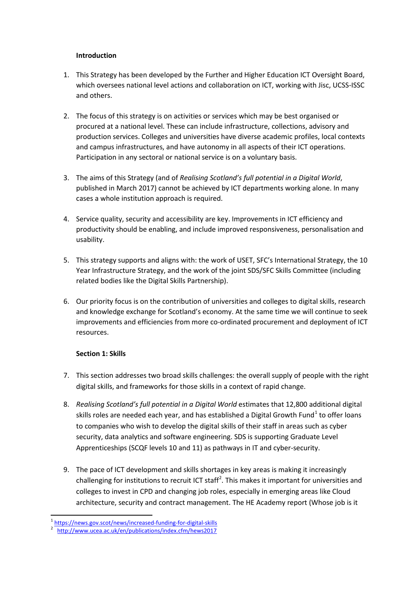#### **Introduction**

- 1. This Strategy has been developed by the Further and Higher Education ICT Oversight Board, which oversees national level actions and collaboration on ICT, working with Jisc, UCSS-ISSC and others.
- 2. The focus of this strategy is on activities or services which may be best organised or procured at a national level. These can include infrastructure, collections, advisory and production services. Colleges and universities have diverse academic profiles, local contexts and campus infrastructures, and have autonomy in all aspects of their ICT operations. Participation in any sectoral or national service is on a voluntary basis.
- 3. The aims of this Strategy (and of *Realising Scotland's full potential in a Digital World*, published in March 2017) cannot be achieved by ICT departments working alone. In many cases a whole institution approach is required.
- 4. Service quality, security and accessibility are key. Improvements in ICT efficiency and productivity should be enabling, and include improved responsiveness, personalisation and usability.
- 5. This strategy supports and aligns with: the work of USET, SFC's International Strategy, the 10 Year Infrastructure Strategy, and the work of the joint SDS/SFC Skills Committee (including related bodies like the Digital Skills Partnership).
- 6. Our priority focus is on the contribution of universities and colleges to digital skills, research and knowledge exchange for Scotland's economy. At the same time we will continue to seek improvements and efficiencies from more co-ordinated procurement and deployment of ICT resources.

## **Section 1: Skills**

- 7. This section addresses two broad skills challenges: the overall supply of people with the right digital skills, and frameworks for those skills in a context of rapid change.
- 8. *Realising Scotland's full potential in a Digital World* estimates that 12,800 additional digital skills roles are needed each year, and has established a Digital Growth Fund<sup>[1](#page-2-0)</sup> to offer loans to companies who wish to develop the digital skills of their staff in areas such as cyber security, data analytics and software engineering. SDS is supporting Graduate Level Apprenticeships (SCQF levels 10 and 11) as pathways in IT and cyber-security.
- 9. The pace of ICT development and skills shortages in key areas is making it increasingly challenging for institutions to recruit ICT staff<sup>[2](#page-2-1)</sup>. This makes it important for universities and colleges to invest in CPD and changing job roles, especially in emerging areas like Cloud architecture, security and contract management. The HE Academy report (Whose job is it

<span id="page-2-1"></span><span id="page-2-0"></span><sup>&</sup>lt;sup>1</sup> <https://news.gov.scot/news/increased-funding-for-digital-skills>

<http://www.ucea.ac.uk/en/publications/index.cfm/hews2017>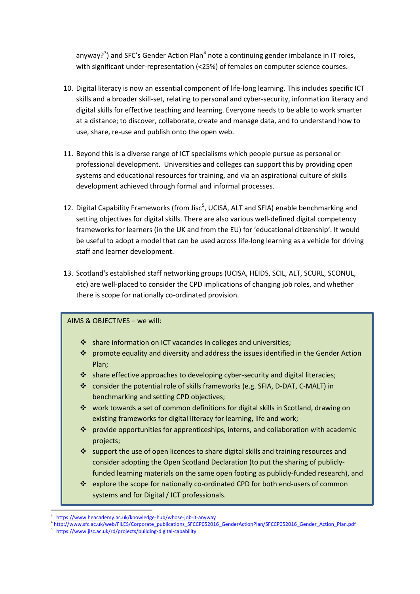anyway?<sup>[3](#page-3-0)</sup>) and SFC's Gender Action Plan<sup>[4](#page-3-1)</sup> note a continuing gender imbalance in IT roles, with significant under-representation (<25%) of females on computer science courses.

- 10. Digital literacy is now an essential component of life-long learning. This includes specific ICT skills and a broader skill-set, relating to personal and cyber-security, information literacy and digital skills for effective teaching and learning. Everyone needs to be able to work smarter at a distance; to discover, collaborate, create and manage data, and to understand how to use, share, re-use and publish onto the open web.
- 11. Beyond this is a diverse range of ICT specialisms which people pursue as personal or professional development. Universities and colleges can support this by providing open systems and educational resources for training, and via an aspirational culture of skills development achieved through formal and informal processes.
- 12. Digital Capability Frameworks (from Jisc<sup>[5](#page-3-2)</sup>, UCISA, ALT and SFIA) enable benchmarking and setting objectives for digital skills. There are also various well-defined digital competency frameworks for learners (in the UK and from the EU) for 'educational citizenship'. It would be useful to adopt a model that can be used across life-long learning as a vehicle for driving staff and learner development.
- 13. Scotland's established staff networking groups (UCISA, HEIDS, SCIL, ALT, SCURL, SCONUL, etc) are well-placed to consider the CPD implications of changing job roles, and whether there is scope for nationally co-ordinated provision.

- share information on ICT vacancies in colleges and universities;
- promote equality and diversity and address the issues identified in the Gender Action Plan;
- share effective approaches to developing cyber-security and digital literacies;
- consider the potential role of skills frameworks (e.g. SFIA, D-DAT, C-MALT) in benchmarking and setting CPD objectives;
- work towards a set of common definitions for digital skills in Scotland, drawing on existing frameworks for digital literacy for learning, life and work;
- provide opportunities for apprenticeships, interns, and collaboration with academic projects;
- $\cdot$  support the use of open licences to share digital skills and training resources and consider adopting the Open Scotland Declaration (to put the sharing of publiclyfunded learning materials on the same open footing as publicly-funded research), and
- \* explore the scope for nationally co-ordinated CPD for both end-users of common systems and for Digital / ICT professionals.

<sup>-&</sup>lt;br>3

<span id="page-3-0"></span><https://www.heacademy.ac.uk/knowledge-hub/whose-job-it-anyway> 4 [http://www.sfc.ac.uk/web/FILES/Corporate\\_publications\\_SFCCP052016\\_GenderActionPlan/SFCCP052016\\_Gender\\_Action\\_Plan.pdf](http://www.sfc.ac.uk/web/FILES/Corporate_publications_SFCCP052016_GenderActionPlan/SFCCP052016_Gender_Action_Plan.pdf)

<span id="page-3-2"></span><span id="page-3-1"></span><sup>5</sup> <https://www.jisc.ac.uk/rd/projects/building-digital-capability>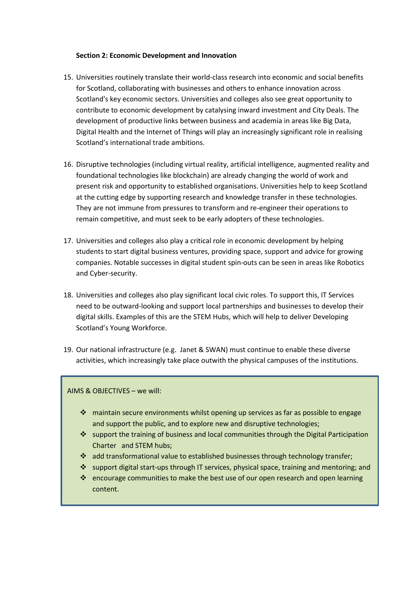#### **Section 2: Economic Development and Innovation**

- 15. Universities routinely translate their world-class research into economic and social benefits for Scotland, collaborating with businesses and others to enhance innovation across Scotland's key economic sectors. Universities and colleges also see great opportunity to contribute to economic development by catalysing inward investment and City Deals. The development of productive links between business and academia in areas like Big Data, Digital Health and the Internet of Things will play an increasingly significant role in realising Scotland's international trade ambitions.
- 16. Disruptive technologies (including virtual reality, artificial intelligence, augmented reality and foundational technologies like blockchain) are already changing the world of work and present risk and opportunity to established organisations. Universities help to keep Scotland at the cutting edge by supporting research and knowledge transfer in these technologies. They are not immune from pressures to transform and re-engineer their operations to remain competitive, and must seek to be early adopters of these technologies.
- 17. Universities and colleges also play a critical role in economic development by helping students to start digital business ventures, providing space, support and advice for growing companies. Notable successes in digital student spin-outs can be seen in areas like Robotics and Cyber-security.
- 18. Universities and colleges also play significant local civic roles. To support this, IT Services need to be outward-looking and support local partnerships and businesses to develop their digital skills. Examples of this are the STEM Hubs, which will help to deliver Developing Scotland's Young Workforce.
- 19. Our national infrastructure (e.g. Janet & SWAN) must continue to enable these diverse activities, which increasingly take place outwith the physical campuses of the institutions.

- $\cdot \cdot$  maintain secure environments whilst opening up services as far as possible to engage and support the public, and to explore new and disruptive technologies;
- $\cdot$  support the training of business and local communities through the Digital Participation Charter and STEM hubs;
- add transformational value to established businesses through technology transfer;
- support digital start-ups through IT services, physical space, training and mentoring; and
- encourage communities to make the best use of our open research and open learning content.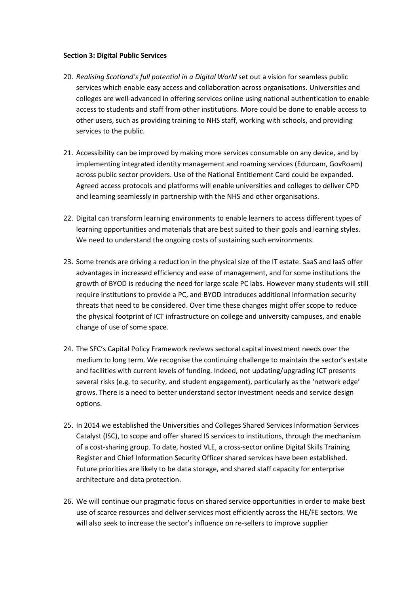#### **Section 3: Digital Public Services**

- 20. *Realising Scotland's full potential in a Digital World* set out a vision for seamless public services which enable easy access and collaboration across organisations. Universities and colleges are well-advanced in offering services online using national authentication to enable access to students and staff from other institutions. More could be done to enable access to other users, such as providing training to NHS staff, working with schools, and providing services to the public.
- 21. Accessibility can be improved by making more services consumable on any device, and by implementing integrated identity management and roaming services (Eduroam, GovRoam) across public sector providers. Use of the National Entitlement Card could be expanded. Agreed access protocols and platforms will enable universities and colleges to deliver CPD and learning seamlessly in partnership with the NHS and other organisations.
- 22. Digital can transform learning environments to enable learners to access different types of learning opportunities and materials that are best suited to their goals and learning styles. We need to understand the ongoing costs of sustaining such environments.
- 23. Some trends are driving a reduction in the physical size of the IT estate. SaaS and IaaS offer advantages in increased efficiency and ease of management, and for some institutions the growth of BYOD is reducing the need for large scale PC labs. However many students will still require institutions to provide a PC, and BYOD introduces additional information security threats that need to be considered. Over time these changes might offer scope to reduce the physical footprint of ICT infrastructure on college and university campuses, and enable change of use of some space.
- 24. The SFC's Capital Policy Framework reviews sectoral capital investment needs over the medium to long term. We recognise the continuing challenge to maintain the sector's estate and facilities with current levels of funding. Indeed, not updating/upgrading ICT presents several risks (e.g. to security, and student engagement), particularly as the 'network edge' grows. There is a need to better understand sector investment needs and service design options.
- 25. In 2014 we established the Universities and Colleges Shared Services Information Services Catalyst (ISC), to scope and offer shared IS services to institutions, through the mechanism of a cost-sharing group. To date, hosted VLE, a cross-sector online Digital Skills Training Register and Chief Information Security Officer shared services have been established. Future priorities are likely to be data storage, and shared staff capacity for enterprise architecture and data protection.
- 26. We will continue our pragmatic focus on shared service opportunities in order to make best use of scarce resources and deliver services most efficiently across the HE/FE sectors. We will also seek to increase the sector's influence on re-sellers to improve supplier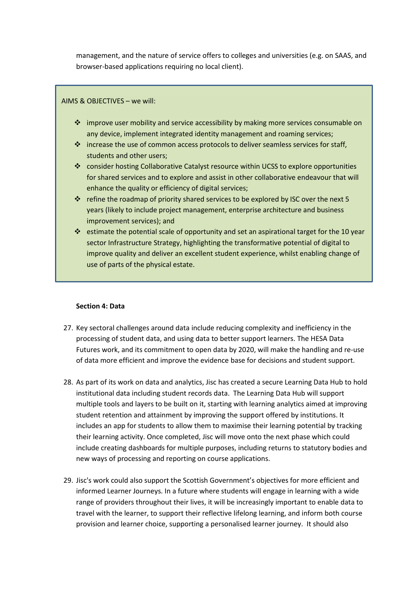management, and the nature of service offers to colleges and universities (e.g. on SAAS, and browser-based applications requiring no local client).

# **Aims/Objectives** AIMS & OBJECTIVES – we will:

- $\div$  improve user mobility and service accessibility by making more services consumable on any device, implement integrated identity management and roaming services;
- $\cdot \cdot$  increase the use of common access protocols to deliver seamless services for staff. students and other users;
- consider hosting Collaborative Catalyst resource within UCSS to explore opportunities for shared services and to explore and assist in other collaborative endeavour that will enhance the quality or efficiency of digital services;
- $\cdot \cdot$  refine the roadmap of priority shared services to be explored by ISC over the next 5 years (likely to include project management, enterprise architecture and business improvement services); and
- $\cdot \cdot$  estimate the potential scale of opportunity and set an aspirational target for the 10 year sector Infrastructure Strategy, highlighting the transformative potential of digital to improve quality and deliver an excellent student experience, whilst enabling change of use of parts of the physical estate.

#### **Section 4: Data**

- 27. Key sectoral challenges around data include reducing complexity and inefficiency in the processing of student data, and using data to better support learners. The HESA Data Futures work, and its commitment to open data by 2020, will make the handling and re-use of data more efficient and improve the evidence base for decisions and student support.
- 28. As part of its work on data and analytics, Jisc has created a secure Learning Data Hub to hold institutional data including student records data. The Learning Data Hub will support multiple tools and layers to be built on it, starting with learning analytics aimed at improving student retention and attainment by improving the support offered by institutions. It includes an app for students to allow them to maximise their learning potential by tracking their learning activity. Once completed, Jisc will move onto the next phase which could include creating dashboards for multiple purposes, including returns to statutory bodies and new ways of processing and reporting on course applications.
- 29. Jisc's work could also support the Scottish Government's objectives for more efficient and informed Learner Journeys. In a future where students will engage in learning with a wide range of providers throughout their lives, it will be increasingly important to enable data to travel with the learner, to support their reflective lifelong learning, and inform both course provision and learner choice, supporting a personalised learner journey. It should also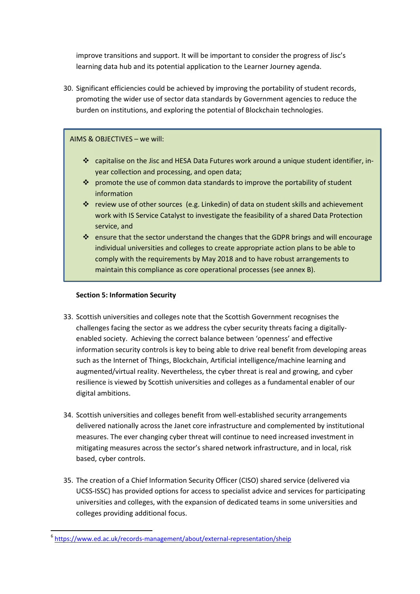improve transitions and support. It will be important to consider the progress of Jisc's learning data hub and its potential application to the Learner Journey agenda.

30. Significant efficiencies could be achieved by improving the portability of student records, promoting the wider use of sector data standards by Government agencies to reduce the burden on institutions, and exploring the potential of Blockchain technologies.

## 31. We could also develop our use of non-personal public data for broader societal benefits (e.g.  $\overline{A}$ IMS & OBJECTIVES – we will:

- 32. The General Data Protection Regulation (GDPR) comes into effect on 25 May 2018 and puts capitalise on the Jisc and HESA Data Futures work around a unique student identifier, indata subject rights at the forefront and emphasises that data subject continue to the forefront and processing, and open data;
	- $\clubsuit$  promote the use of common data standards to improve the portability of student is an EU citizen or not, and to data concerning and to data concerning and EU citizen processed outwith the EU information
	- $\clubsuit$  review use of other sources (e.g. Linkedin) of data on student skills and achievement work with IS Service Catalyst to investigate the feasibility of a shared Data Protection the requirements. There are a number of  $k$  changes that might affect that might affect the provision of  $\mathcal{L}$ service, and
	- $\clubsuit$  ensure that the sector un[de](#page-7-0)rstand the changes that the GDPR brings and will encourage individual universities and colleges to create appropriate action plans to be able to comply with the requirements by May 2018 and to have robust arrangements to maintain this compliance as core operational processes (see annex B).

## **Section 5: Information Security**

- 33. Scottish universities and colleges note that the Scottish Government recognises the challenges facing the sector as we address the cyber security threats facing a digitallyenabled society. Achieving the correct balance between 'openness' and effective information security controls is key to being able to drive real benefit from developing areas such as the Internet of Things, Blockchain, Artificial intelligence/machine learning and augmented/virtual reality. Nevertheless, the cyber threat is real and growing, and cyber resilience is viewed by Scottish universities and colleges as a fundamental enabler of our digital ambitions.
- 34. Scottish universities and colleges benefit from well-established security arrangements delivered nationally across the Janet core infrastructure and complemented by institutional measures. The ever changing cyber threat will continue to need increased investment in mitigating measures across the sector's shared network infrastructure, and in local, risk based, cyber controls.
- 35. The creation of a Chief Information Security Officer (CISO) shared service (delivered via UCSS-ISSC) has provided options for access to specialist advice and services for participating universities and colleges, with the expansion of dedicated teams in some universities and colleges providing additional focus.

<span id="page-7-0"></span> <sup>6</sup> <https://www.ed.ac.uk/records-management/about/external-representation/sheip>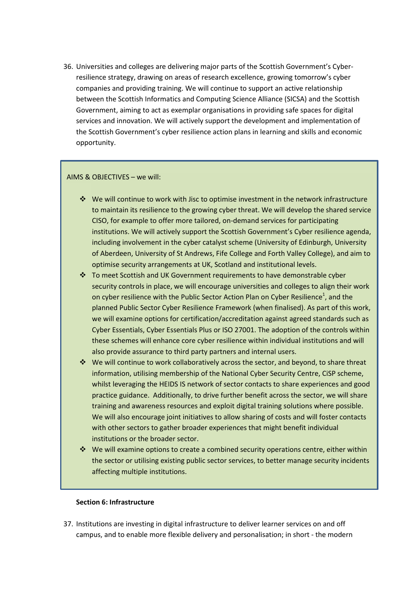36. Universities and colleges are delivering major parts of the Scottish Government's Cyberresilience strategy, drawing on areas of research excellence, growing tomorrow's cyber companies and providing training. We will continue to support an active relationship between the Scottish Informatics and Computing Science Alliance (SICSA) and the Scottish Government, aiming to act as exemplar organisations in providing safe spaces for digital services and innovation. We will actively support the development and implementation of the Scottish Government's cyber resilience action plans in learning and skills and economic opportunity.

#### AIMS & OBJECTIVES – we will:

- We will continue to work with Jisc to optimise investment in the network infrastructure to maintain its resilience to the growing cyber threat. We will develop the shared service CISO, for example to offer more tailored, on-demand services for participating institutions. We will actively support the Scottish Government's Cyber resilience agenda, including involvement in the cyber catalyst scheme (University of Edinburgh, University of Aberdeen, University of St Andrews, Fife College and Forth Valley College), and aim to optimise security arrangements at UK, Scotland and institutional levels.
- To meet Scottish and UK Government requirements to have demonstrable cyber security controls in place, we will encourage universities and colleges to align their work on cyber resilience with the Public Sector Action Plan on Cyber Resilience<sup>1</sup>, and the planned Public Sector Cyber Resilience Framework (when finalised). As part of this work, we will examine options for certification/accreditation against agreed standards such as Cyber Essentials, Cyber Essentials Plus or ISO 27001. The adoption of the controls within these schemes will enhance core cyber resilience within individual institutions and will also provide assurance to third party partners and internal users.
- We will continue to work collaboratively across the sector, and beyond, to share threat information, utilising membership of the National Cyber Security Centre, CiSP scheme, whilst leveraging the HEIDS IS network of sector contacts to share experiences and good practice guidance. Additionally, to drive further benefit across the sector, we will share training and awareness resources and exploit digital training solutions where possible. We will also encourage joint initiatives to allow sharing of costs and will foster contacts with other sectors to gather broader experiences that might benefit individual institutions or the broader sector.
- We will examine options to create a combined security operations centre, either within the sector or utilising existing public sector services, to better manage security incidents affecting multiple institutions.

#### **Section 6: Infrastructure**

37. Institutions are investing in digital infrastructure to deliver learner services on and off campus, and to enable more flexible delivery and personalisation; in short - the modern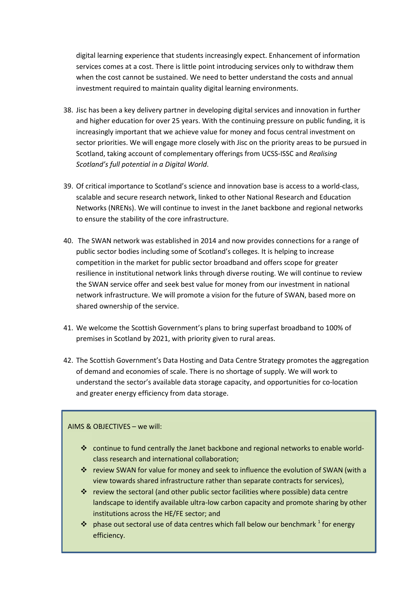digital learning experience that students increasingly expect. Enhancement of information services comes at a cost. There is little point introducing services only to withdraw them when the cost cannot be sustained. We need to better understand the costs and annual investment required to maintain quality digital learning environments.

- 38. Jisc has been a key delivery partner in developing digital services and innovation in further and higher education for over 25 years. With the continuing pressure on public funding, it is increasingly important that we achieve value for money and focus central investment on sector priorities. We will engage more closely with Jisc on the priority areas to be pursued in Scotland, taking account of complementary offerings from UCSS-ISSC and *Realising Scotland's full potential in a Digital World*.
- 39. Of critical importance to Scotland's science and innovation base is access to a world-class, scalable and secure research network, linked to other National Research and Education Networks (NRENs). We will continue to invest in the Janet backbone and regional networks to ensure the stability of the core infrastructure.
- 40. The SWAN network was established in 2014 and now provides connections for a range of public sector bodies including some of Scotland's colleges. It is helping to increase competition in the market for public sector broadband and offers scope for greater resilience in institutional network links through diverse routing. We will continue to review the SWAN service offer and seek best value for money from our investment in national network infrastructure. We will promote a vision for the future of SWAN, based more on shared ownership of the service.
- 41. We welcome the Scottish Government's plans to bring superfast broadband to 100% of premises in Scotland by 2021, with priority given to rural areas.
- 42. The Scottish Government's Data Hosting and Data Centre Strategy promotes the aggregation of demand and economies of scale. There is no shortage of supply. We will work to understand the sector's available data storage capacity, and opportunities for co-location and greater energy efficiency from data storage.

- continue to fund centrally the Janet backbone and regional networks to enable worldclass research and international collaboration;
- \* review SWAN for value for money and seek to influence the evolution of SWAN (with a view towards shared infrastructure rather than separate contracts for services),
- review the sectoral (and other public sector facilities where possible) data centre landscape to identify available ultra-low carbon capacity and promote sharing by other institutions across the HE/FE sector; and
- $\cdot \cdot$  phase out sectoral use of data centres which fall below our benchmark <sup>1</sup> for energy efficiency.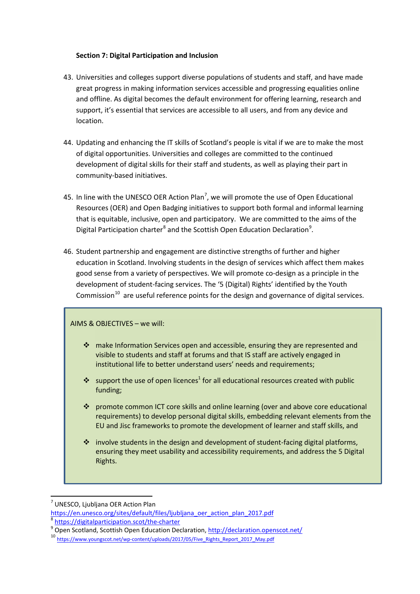### **Section 7: Digital Participation and Inclusion**

- 43. Universities and colleges support diverse populations of students and staff, and have made great progress in making information services accessible and progressing equalities online and offline. As digital becomes the default environment for offering learning, research and support, it's essential that services are accessible to all users, and from any device and location.
- 44. Updating and enhancing the IT skills of Scotland's people is vital if we are to make the most of digital opportunities. Universities and colleges are committed to the continued development of digital skills for their staff and students, as well as playing their part in community-based initiatives.
- 45. In line with the UNESCO OER Action Plan<sup>[7](#page-10-0)</sup>, we will promote the use of Open Educational Resources (OER) and Open Badging initiatives to support both formal and informal learning that is equitable, inclusive, open and participatory. We are committed to the aims of the Digital Participation charter<sup>[8](#page-10-1)</sup> and the Scottish Open Education Declaration<sup>[9](#page-10-2)</sup>.
- 46. Student partnership and engagement are distinctive strengths of further and higher education in Scotland. Involving students in the design of services which affect them makes good sense from a variety of perspectives. We will promote co-design as a principle in the development of student-facing services. The '5 (Digital) Rights' identified by the Youth Commission $^{10}$  are useful reference points for the design and governance of digital services.

- \* make Information Services open and accessible, ensuring they are represented and visible to students and staff at forums and that IS staff are actively engaged in institutional life to better understand users' needs and requirements;
- support the use of open licences<sup>1</sup> for all educational resources created with public funding;
- promote common ICT core skills and online learning (over and above core educational requirements) to develop personal digital skills, embedding relevant elements from the EU and Jisc frameworks to promote the development of learner and staff skills, and
- $\cdot \cdot$  involve students in the design and development of student-facing digital platforms, ensuring they meet usability and accessibility requirements, and address the 5 Digital Rights.

<span id="page-10-0"></span> <sup>7</sup> UNESCO, Ljubljana OER Action Plan

[https://en.unesco.org/sites/default/files/ljubljana\\_oer\\_action\\_plan\\_2017.pdf](https://en.unesco.org/sites/default/files/ljubljana_oer_action_plan_2017.pdf)

<span id="page-10-2"></span><span id="page-10-1"></span> $\frac{8}{9}$  <https://digitalparticipation.scot/the-charter><br>
9 Open Scotland, Scottish Open Education Declaration,<http://declaration.openscot.net/><br>
10 https://www.youngscot.net/wp-content<u>/uploads/2017/05/Five\_Rights\_Report\_</u>

<span id="page-10-3"></span>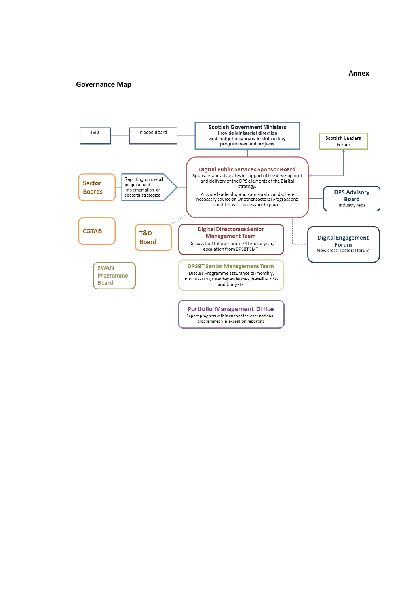#### **Governance Map**

#### **Annex**

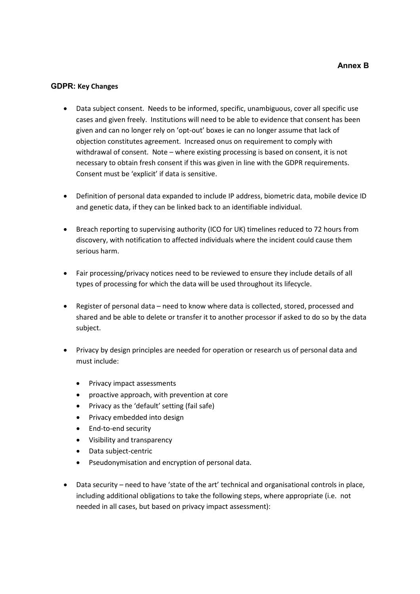### **GDPR: Key Changes**

- Data subject consent. Needs to be informed, specific, unambiguous, cover all specific use cases and given freely. Institutions will need to be able to evidence that consent has been given and can no longer rely on 'opt-out' boxes ie can no longer assume that lack of objection constitutes agreement. Increased onus on requirement to comply with withdrawal of consent. Note – where existing processing is based on consent, it is not necessary to obtain fresh consent if this was given in line with the GDPR requirements. Consent must be 'explicit' if data is sensitive.
- Definition of personal data expanded to include IP address, biometric data, mobile device ID and genetic data, if they can be linked back to an identifiable individual.
- Breach reporting to supervising authority (ICO for UK) timelines reduced to 72 hours from discovery, with notification to affected individuals where the incident could cause them serious harm.
- Fair processing/privacy notices need to be reviewed to ensure they include details of all types of processing for which the data will be used throughout its lifecycle.
- Register of personal data need to know where data is collected, stored, processed and shared and be able to delete or transfer it to another processor if asked to do so by the data subject.
- Privacy by design principles are needed for operation or research us of personal data and must include:
	- Privacy impact assessments
	- proactive approach, with prevention at core
	- Privacy as the 'default' setting (fail safe)
	- Privacy embedded into design
	- End-to-end security
	- Visibility and transparency
	- Data subject-centric
	- Pseudonymisation and encryption of personal data.
- Data security need to have 'state of the art' technical and organisational controls in place, including additional obligations to take the following steps, where appropriate (i.e. not needed in all cases, but based on privacy impact assessment):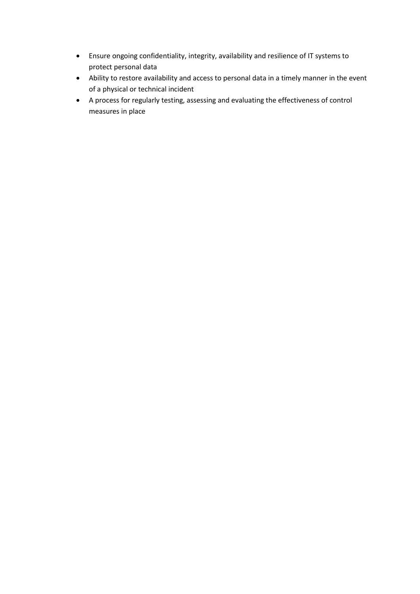- Ensure ongoing confidentiality, integrity, availability and resilience of IT systems to protect personal data
- Ability to restore availability and access to personal data in a timely manner in the event of a physical or technical incident
- A process for regularly testing, assessing and evaluating the effectiveness of control measures in place